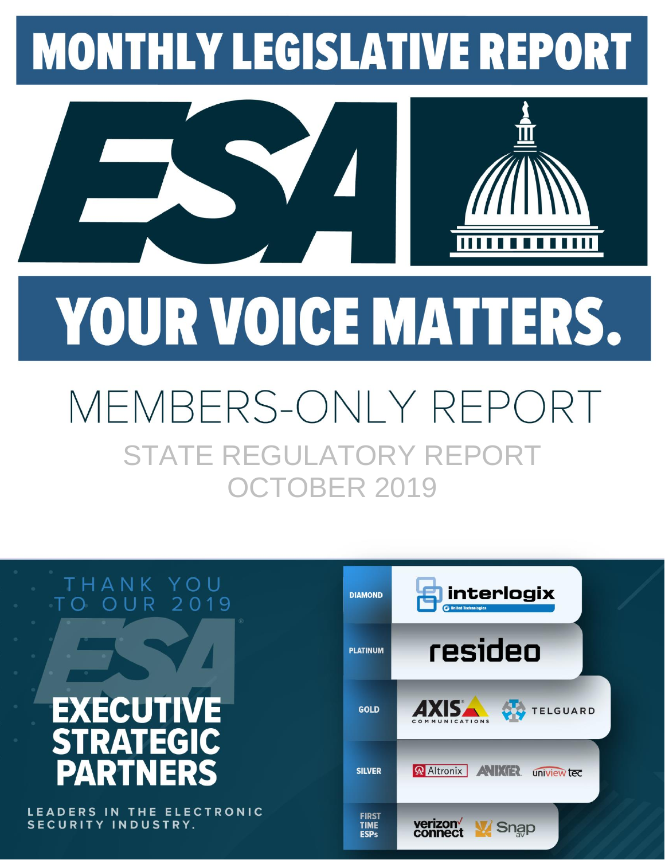# **MONTHLY LEGISLATIVE REPORT**



# YOUR VOICE MATTERS.

# MEMBERS-ONLY REPOI STATE REGULATORY REPORT OCTOBER 2019



LEADERS IN THE ELECTRONIC SECURITY INDUSTRY.

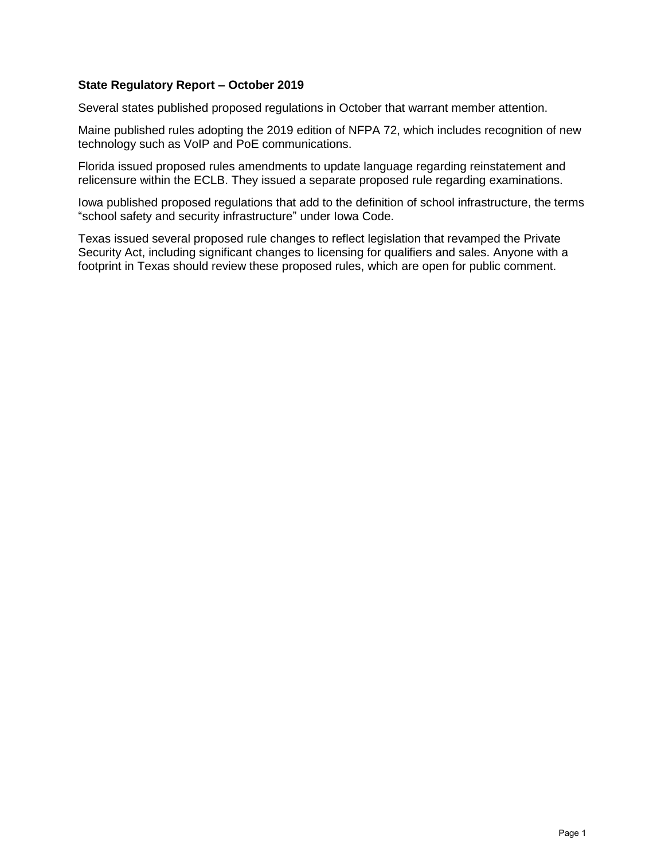#### **State Regulatory Report – October 2019**

Several states published proposed regulations in October that warrant member attention.

Maine published rules adopting the 2019 edition of NFPA 72, which includes recognition of new technology such as VoIP and PoE communications.

Florida issued proposed rules amendments to update language regarding reinstatement and relicensure within the ECLB. They issued a separate proposed rule regarding examinations.

Iowa published proposed regulations that add to the definition of school infrastructure, the terms "school safety and security infrastructure" under Iowa Code.

Texas issued several proposed rule changes to reflect legislation that revamped the Private Security Act, including significant changes to licensing for qualifiers and sales. Anyone with a footprint in Texas should review these proposed rules, which are open for public comment.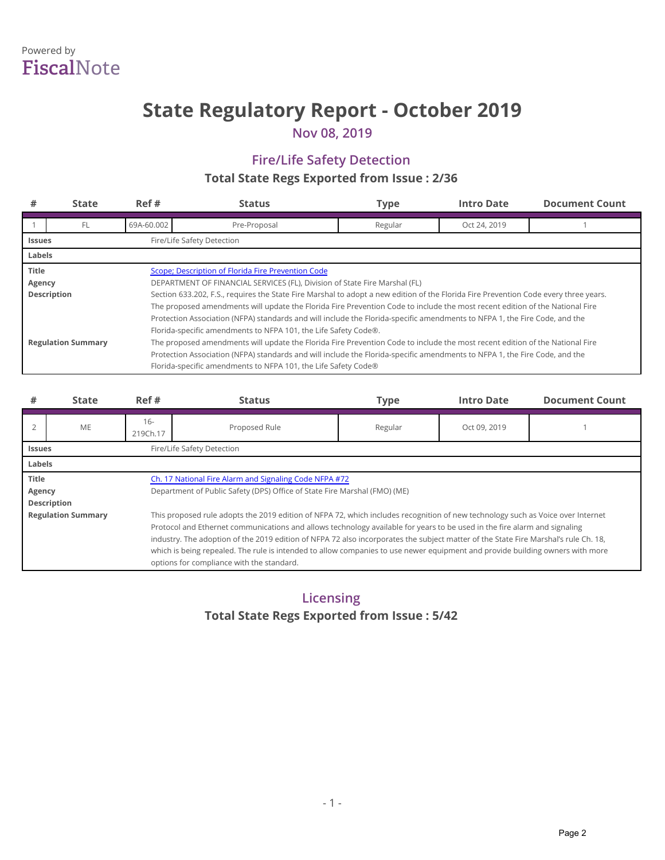## Powered by **Fiscal**Note

# **State Regulatory Report - October 2019**

**Nov 08, 2019**

### **Fire/Life Safety Detection Total State Regs Exported from Issue: 2/36**

| #                                                                                                                          | <b>State</b>                                | Ref#       | <b>Status</b>                                                                                                                        | <b>Type</b> | <b>Intro Date</b> | <b>Document Count</b> |  |  |  |
|----------------------------------------------------------------------------------------------------------------------------|---------------------------------------------|------------|--------------------------------------------------------------------------------------------------------------------------------------|-------------|-------------------|-----------------------|--|--|--|
|                                                                                                                            | FL                                          | 69A-60.002 | Pre-Proposal                                                                                                                         | Regular     | Oct 24, 2019      |                       |  |  |  |
|                                                                                                                            | Fire/Life Safety Detection<br><b>Issues</b> |            |                                                                                                                                      |             |                   |                       |  |  |  |
| Labels                                                                                                                     |                                             |            |                                                                                                                                      |             |                   |                       |  |  |  |
| <b>Title</b>                                                                                                               |                                             |            | Scope; Description of Florida Fire Prevention Code                                                                                   |             |                   |                       |  |  |  |
| Agency                                                                                                                     |                                             |            | DEPARTMENT OF FINANCIAL SERVICES (FL), Division of State Fire Marshal (FL)                                                           |             |                   |                       |  |  |  |
|                                                                                                                            | Description                                 |            | Section 633.202, F.S., requires the State Fire Marshal to adopt a new edition of the Florida Fire Prevention Code every three years. |             |                   |                       |  |  |  |
|                                                                                                                            |                                             |            | The proposed amendments will update the Florida Fire Prevention Code to include the most recent edition of the National Fire         |             |                   |                       |  |  |  |
| Protection Association (NFPA) standards and will include the Florida-specific amendments to NFPA 1, the Fire Code, and the |                                             |            |                                                                                                                                      |             |                   |                       |  |  |  |
| Florida-specific amendments to NFPA 101, the Life Safety Code®.                                                            |                                             |            |                                                                                                                                      |             |                   |                       |  |  |  |
|                                                                                                                            | <b>Regulation Summary</b>                   |            | The proposed amendments will update the Florida Fire Prevention Code to include the most recent edition of the National Fire         |             |                   |                       |  |  |  |
| Protection Association (NFPA) standards and will include the Florida-specific amendments to NFPA 1, the Fire Code, and the |                                             |            |                                                                                                                                      |             |                   |                       |  |  |  |
|                                                                                                                            |                                             |            | Florida-specific amendments to NFPA 101, the Life Safety Code®                                                                       |             |                   |                       |  |  |  |

| #                                                                                                                             | <b>State</b>                                                                                                              | Ref#               | <b>Status</b>                                                                                                                       | <b>Type</b> | <b>Intro Date</b> | <b>Document Count</b> |  |  |
|-------------------------------------------------------------------------------------------------------------------------------|---------------------------------------------------------------------------------------------------------------------------|--------------------|-------------------------------------------------------------------------------------------------------------------------------------|-------------|-------------------|-----------------------|--|--|
|                                                                                                                               | <b>ME</b>                                                                                                                 | $16 -$<br>219Ch.17 | Proposed Rule                                                                                                                       | Regular     | Oct 09, 2019      |                       |  |  |
|                                                                                                                               | Fire/Life Safety Detection<br><b>Issues</b>                                                                               |                    |                                                                                                                                     |             |                   |                       |  |  |
| Labels                                                                                                                        |                                                                                                                           |                    |                                                                                                                                     |             |                   |                       |  |  |
| <b>Title</b><br>Ch. 17 National Fire Alarm and Signaling Code NFPA #72                                                        |                                                                                                                           |                    |                                                                                                                                     |             |                   |                       |  |  |
| Agency                                                                                                                        |                                                                                                                           |                    | Department of Public Safety (DPS) Office of State Fire Marshal (FMO) (ME)                                                           |             |                   |                       |  |  |
|                                                                                                                               | Description                                                                                                               |                    |                                                                                                                                     |             |                   |                       |  |  |
|                                                                                                                               | <b>Regulation Summary</b>                                                                                                 |                    | This proposed rule adopts the 2019 edition of NFPA 72, which includes recognition of new technology such as Voice over Internet     |             |                   |                       |  |  |
|                                                                                                                               | Protocol and Ethernet communications and allows technology available for years to be used in the fire alarm and signaling |                    |                                                                                                                                     |             |                   |                       |  |  |
|                                                                                                                               |                                                                                                                           |                    | industry. The adoption of the 2019 edition of NFPA 72 also incorporates the subject matter of the State Fire Marshal's rule Ch. 18, |             |                   |                       |  |  |
| which is being repealed. The rule is intended to allow companies to use newer equipment and provide building owners with more |                                                                                                                           |                    |                                                                                                                                     |             |                   |                       |  |  |
|                                                                                                                               | options for compliance with the standard.                                                                                 |                    |                                                                                                                                     |             |                   |                       |  |  |

### **Licensing Total State Regs Exported from Issue: 5/42**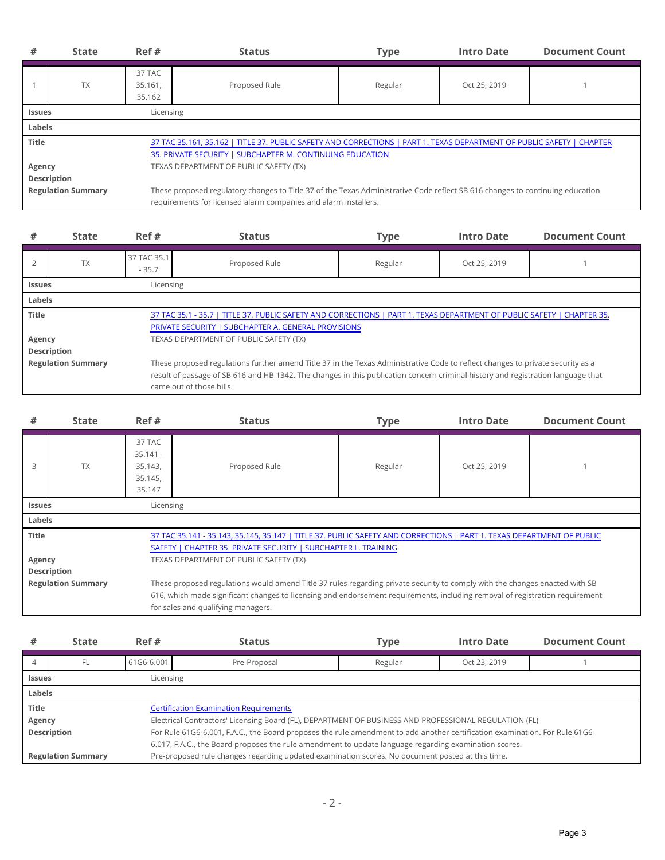| #                                                                                                                                                                                                                                                                            | <b>State</b>               | Ref#                        | <b>Status</b>                                                                                                                                                                                    | <b>Type</b> | <b>Intro Date</b> | <b>Document Count</b> |  |
|------------------------------------------------------------------------------------------------------------------------------------------------------------------------------------------------------------------------------------------------------------------------------|----------------------------|-----------------------------|--------------------------------------------------------------------------------------------------------------------------------------------------------------------------------------------------|-------------|-------------------|-----------------------|--|
|                                                                                                                                                                                                                                                                              | <b>TX</b>                  | 37 TAC<br>35.161.<br>35.162 | Proposed Rule                                                                                                                                                                                    | Regular     | Oct 25, 2019      |                       |  |
|                                                                                                                                                                                                                                                                              | Licensing<br><b>Issues</b> |                             |                                                                                                                                                                                                  |             |                   |                       |  |
| Labels                                                                                                                                                                                                                                                                       |                            |                             |                                                                                                                                                                                                  |             |                   |                       |  |
| <b>Title</b><br>37 TAC 35.161, 35.162   TITLE 37. PUBLIC SAFETY AND CORRECTIONS   PART 1. TEXAS DEPARTMENT OF PUBLIC SAFETY   CHAPTER<br>35. PRIVATE SECURITY   SUBCHAPTER M. CONTINUING EDUCATION<br>TEXAS DEPARTMENT OF PUBLIC SAFETY (TX)<br>Agency<br><b>Description</b> |                            |                             |                                                                                                                                                                                                  |             |                   |                       |  |
|                                                                                                                                                                                                                                                                              | <b>Regulation Summary</b>  |                             | These proposed regulatory changes to Title 37 of the Texas Administrative Code reflect SB 616 changes to continuing education<br>requirements for licensed alarm companies and alarm installers. |             |                   |                       |  |

| #                                        | <b>State</b>               | Ref#                     | <b>Status</b>                                                                                                                                                                                                                                                      | <b>Type</b> | <b>Intro Date</b> | <b>Document Count</b> |  |  |
|------------------------------------------|----------------------------|--------------------------|--------------------------------------------------------------------------------------------------------------------------------------------------------------------------------------------------------------------------------------------------------------------|-------------|-------------------|-----------------------|--|--|
|                                          | <b>TX</b>                  | 37 TAC 35.1<br>$-35.7$   | Proposed Rule                                                                                                                                                                                                                                                      | Regular     | Oct 25, 2019      |                       |  |  |
|                                          | Licensing<br><b>Issues</b> |                          |                                                                                                                                                                                                                                                                    |             |                   |                       |  |  |
| Labels                                   |                            |                          |                                                                                                                                                                                                                                                                    |             |                   |                       |  |  |
| <b>Title</b>                             |                            |                          | 37 TAC 35.1 - 35.7   TITLE 37. PUBLIC SAFETY AND CORRECTIONS   PART 1. TEXAS DEPARTMENT OF PUBLIC SAFETY   CHAPTER 35.<br>PRIVATE SECURITY   SUBCHAPTER A. GENERAL PROVISIONS                                                                                      |             |                   |                       |  |  |
| Agency                                   |                            |                          | TEXAS DEPARTMENT OF PUBLIC SAFETY (TX)                                                                                                                                                                                                                             |             |                   |                       |  |  |
| Description<br><b>Regulation Summary</b> |                            | came out of those bills. | These proposed regulations further amend Title 37 in the Texas Administrative Code to reflect changes to private security as a<br>result of passage of SB 616 and HB 1342. The changes in this publication concern criminal history and registration language that |             |                   |                       |  |  |

| #                                                                                                                                                                                                                                                           | <b>State</b>               | Ref#                                                 | <b>Status</b>                                                                                                                                                                                                                                               | <b>Type</b> | <b>Intro Date</b> | <b>Document Count</b> |  |
|-------------------------------------------------------------------------------------------------------------------------------------------------------------------------------------------------------------------------------------------------------------|----------------------------|------------------------------------------------------|-------------------------------------------------------------------------------------------------------------------------------------------------------------------------------------------------------------------------------------------------------------|-------------|-------------------|-----------------------|--|
| З                                                                                                                                                                                                                                                           | <b>TX</b>                  | 37 TAC<br>$35.141 -$<br>35.143,<br>35.145,<br>35.147 | Proposed Rule                                                                                                                                                                                                                                               | Regular     | Oct 25, 2019      |                       |  |
|                                                                                                                                                                                                                                                             | Licensing<br><b>Issues</b> |                                                      |                                                                                                                                                                                                                                                             |             |                   |                       |  |
| Labels                                                                                                                                                                                                                                                      |                            |                                                      |                                                                                                                                                                                                                                                             |             |                   |                       |  |
| <b>Title</b><br>37 TAC 35.141 - 35.143, 35.145, 35.147   TITLE 37. PUBLIC SAFETY AND CORRECTIONS   PART 1. TEXAS DEPARTMENT OF PUBLIC<br>SAFETY   CHAPTER 35. PRIVATE SECURITY   SUBCHAPTER L. TRAINING<br>TEXAS DEPARTMENT OF PUBLIC SAFETY (TX)<br>Agency |                            |                                                      |                                                                                                                                                                                                                                                             |             |                   |                       |  |
| Description                                                                                                                                                                                                                                                 |                            |                                                      |                                                                                                                                                                                                                                                             |             |                   |                       |  |
| <b>Regulation Summary</b><br>for sales and qualifying managers.                                                                                                                                                                                             |                            |                                                      | These proposed regulations would amend Title 37 rules regarding private security to comply with the changes enacted with SB<br>616, which made significant changes to licensing and endorsement requirements, including removal of registration requirement |             |                   |                       |  |

| #                         | <b>State</b>               | Ref#       | <b>Status</b>                                                                                                               | <b>Type</b> | <b>Intro Date</b> | <b>Document Count</b> |  |  |
|---------------------------|----------------------------|------------|-----------------------------------------------------------------------------------------------------------------------------|-------------|-------------------|-----------------------|--|--|
|                           | FL                         | 61G6-6.001 | Pre-Proposal                                                                                                                | Regular     | Oct 23, 2019      |                       |  |  |
|                           | Licensing<br><b>Issues</b> |            |                                                                                                                             |             |                   |                       |  |  |
| Labels                    |                            |            |                                                                                                                             |             |                   |                       |  |  |
| <b>Title</b>              |                            |            | <b>Certification Examination Requirements</b>                                                                               |             |                   |                       |  |  |
| Agency                    |                            |            | Electrical Contractors' Licensing Board (FL), DEPARTMENT OF BUSINESS AND PROFESSIONAL REGULATION (FL)                       |             |                   |                       |  |  |
| Description               |                            |            | For Rule 61G6-6.001, F.A.C., the Board proposes the rule amendment to add another certification examination. For Rule 61G6- |             |                   |                       |  |  |
|                           |                            |            | 6.017, F.A.C., the Board proposes the rule amendment to update language regarding examination scores.                       |             |                   |                       |  |  |
| <b>Regulation Summary</b> |                            |            | Pre-proposed rule changes regarding updated examination scores. No document posted at this time.                            |             |                   |                       |  |  |